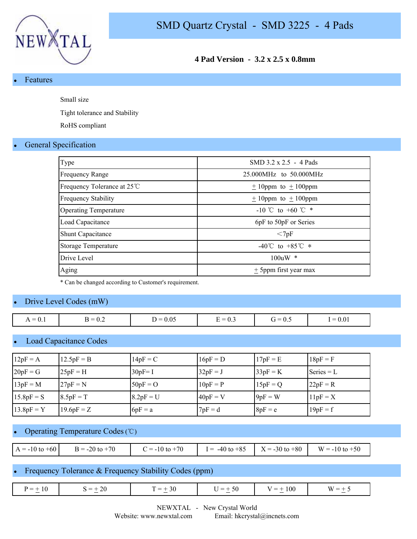

## **4 Pad Version - 3.2 x 2.5 x 0.8mm**

#### **Features**

Small size

Tight tolerance and Stability

RoHS compliant

### **General Specification**

| Type                         | SMD 3.2 x 2.5 - 4 Pads               |
|------------------------------|--------------------------------------|
| <b>Frequency Range</b>       | 25.000MHz to 50.000MHz               |
| Frequency Tolerance at 25°C  | $\pm$ 10ppm to $\pm$ 100ppm          |
| <b>Frequency Stability</b>   | $\pm$ 10ppm to $\pm$ 100ppm          |
| <b>Operating Temperature</b> | -10 °C to +60 °C $*$                 |
| Load Capacitance             | 6pF to 50pF or Series                |
| Shunt Capacitance            | $<$ 7pF                              |
| Storage Temperature          | $-40^{\circ}$ C to $+85^{\circ}$ C * |
| Drive Level                  | $100uW$ *                            |
| Aging                        | + 5ppm first year max                |
|                              |                                      |

\* Can be changed according to Customer's requirement.

## Drive Level Codes (mW)

| 0.05<br>$\sim$<br>$\cdots$<br>$= 0.1$<br><b>1</b> —<br>$= 0$<br>$\overline{\phantom{0}}$<br>∹ —<br>. .<br>--<br>. .<br>$\mathsf{v}.\mathsf{v}$<br>v.5<br><u>ы</u><br>$\mathbf{1}$<br>$\mathsf{v}.\mathsf{v}$<br>— | $= 0.01$ |
|-------------------------------------------------------------------------------------------------------------------------------------------------------------------------------------------------------------------|----------|

## Load Capacitance Codes

| $12pF = A$   | $12.5pF = B$ | $14pF = C$  | $16pF = D$ | $17pF = E$ | $18pF = F$   |
|--------------|--------------|-------------|------------|------------|--------------|
| $20pF = G$   | $25pF = H$   | $30pF = I$  | $32pF = J$ | $33pF = K$ | $Series = L$ |
| $13pF = M$   | $27pF = N$   | $50pF = O$  | $10pF = P$ | $15pF = Q$ | $22pF = R$   |
| $15.8pF = S$ | $8.5pF = T$  | $8.2pF = U$ | $40pF = V$ | $9pF = W$  | $11pF = X$   |
| $13.8pF = Y$ | $19.6pF = Z$ | $6pF = a$   | $7pF = d$  | $8pF = e$  | $19pF = f$   |

### Operating Temperature Codes (℃)

| $A = -10$ to $+60$ | $B = -20$ to $+70$ | $C = -10$ to $+70$ | $I = -40 \text{ to } +85$ $X = -30 \text{ to } +80$ $W = -10 \text{ to } +50$ |  |
|--------------------|--------------------|--------------------|-------------------------------------------------------------------------------|--|

### Frequency Tolerance & Frequency Stability Codes (ppm)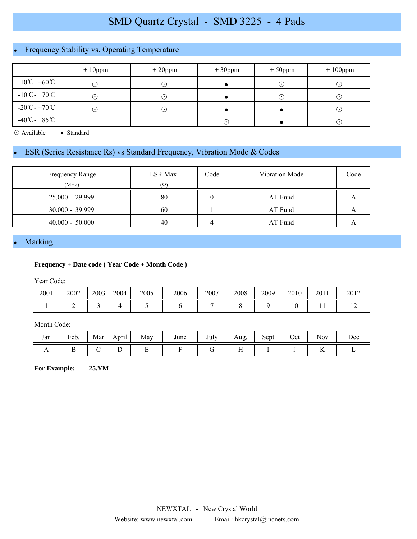# SMD Quartz Crystal - SMD 3225 - 4 Pads

# Frequency Stability vs. Operating Temperature

|                                    | $\pm 10$ ppm               | ± 20 ppm                   | ± 30 ppm | $± 50$ ppm                 | $± 100$ ppm |
|------------------------------------|----------------------------|----------------------------|----------|----------------------------|-------------|
| $-10^{\circ}$ C - +60 $^{\circ}$ C | $(\,\boldsymbol{\cdot}\,)$ | $(\,\cdot\,)$              |          | $\odot$                    | $\cdot$ )   |
| $-10^{\circ}$ C - +70 $^{\circ}$ C | $(\,\boldsymbol{\cdot}\,)$ | $(\,\boldsymbol{\cdot}\,)$ |          | $(\,\boldsymbol{\cdot}\,)$ | $(\bullet)$ |
| $-20^{\circ}$ C - +70 $^{\circ}$ C | $(\,\boldsymbol{\cdot}\,)$ | $(\,\boldsymbol{\cdot}\,)$ |          |                            | $(\bullet)$ |
| $-40^{\circ}$ C - +85 $^{\circ}$ C |                            |                            | ⊙        |                            | ⊙           |

⊙ Available ● Standard

# ESR (Series Resistance Rs) vs Standard Frequency, Vibration Mode & Codes

| Frequency Range   | <b>ESR Max</b> | Code | Vibration Mode | Code |
|-------------------|----------------|------|----------------|------|
| (MHz)             | $(\Omega)$     |      |                |      |
| $25.000 - 29.999$ | 80             |      | AT Fund        |      |
| $30.000 - 39.999$ | 60             |      | AT Fund        |      |
| $40.000 - 50.000$ | 40             |      | AT Fund        |      |

# Marking

#### **Frequency + Date code ( Year Code + Month Code )**

Year Code:

| 2001 | 2002 | 2003 | 2004 | 2005 | 2006 | 2007 | 2008 | 2009 | 2010 | 2011 | 2012 |
|------|------|------|------|------|------|------|------|------|------|------|------|
|      |      |      |      |      |      |      |      |      | 10   | . .  |      |

#### Month Code:

| Jan | Feb. | Mar | $\cdot$ .<br>April | May | June | $T-1$<br>July | Aug.                      | $\sim$<br>Sept | Oct | <b>Nov</b>          | Dec |
|-----|------|-----|--------------------|-----|------|---------------|---------------------------|----------------|-----|---------------------|-----|
| . . |      | ັ   | ◡                  |     |      |               | $\sim$ $\sim$<br>$\cdots$ |                |     | $\sim$ $\sim$<br>ŦZ |     |

**For Example: 25.YM**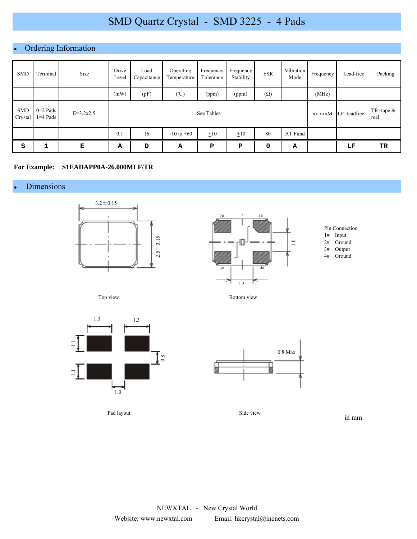# SMD Quartz Crystal - SMD 3225 - 4 Pads

## • Ordering Information

| <b>SMD</b>            | Terminal               | Size        | Drive<br>Level | Load<br>Capacitance | Operating<br>Temperature | Frequency<br>Tolerance | Frequency<br>Stability | <b>ESR</b> | Vibration<br>Mode | Frequency | Lead-free   | Packing             |
|-----------------------|------------------------|-------------|----------------|---------------------|--------------------------|------------------------|------------------------|------------|-------------------|-----------|-------------|---------------------|
|                       |                        |             | (mW)           | (pF)                | $(^{\circ}\!C)$          | (ppm)                  | (ppm)                  | $(\Omega)$ |                   | (MHz)     |             |                     |
| <b>SMD</b><br>Crystal | $0=2$ Pads<br>1=4 Pads | $E=3.2x2.5$ |                | See Tables          |                          |                        |                        |            |                   |           | LF=leadfree | TR=tape $&$<br>reel |
|                       |                        |             | 0.1            | 16                  | $-10$ to $+60$           | ±10                    | $\pm 10$               | 80         | AT Fund           |           |             |                     |
| S                     | 1                      | Е           | А              | D                   | А                        | P                      | P                      | 0          | Α                 |           | LF          | TR                  |

#### **For Example: S1EADAPP0A-26.000MLF/TR**

## Dimensions





Pin Connection

- 1# Input
- 2# Ground
- 3# Output
- Ground

Top view



Pad layout

Bottom view



Side view

in mm